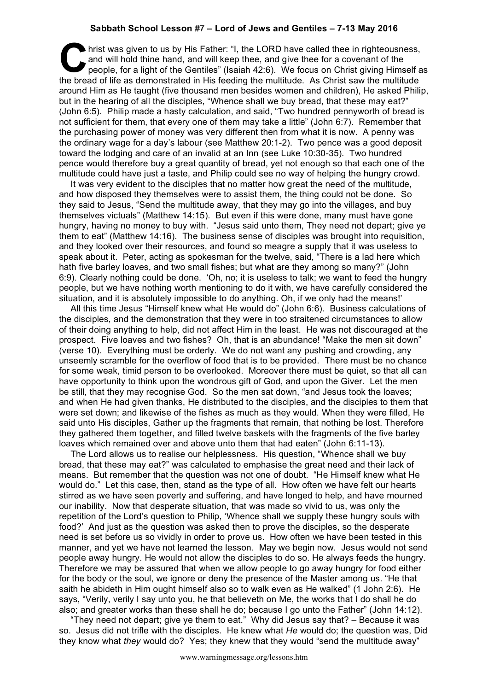## **Sabbath School Lesson #7 – Lord of Jews and Gentiles – 7-13 May 2016**

hrist was given to us by His Father: "I, the LORD have called thee in righteousness, and will hold thine hand, and will keep thee, and give thee for a covenant of the people, for a light of the Gentiles" (Isaiah 42:6). We and will hold thine hand, and will keep thee, and give thee for a covenant of the people, for a light of the Gentiles" (Isaiah 42:6). We focus on Christ giving Himself as the bread of life as demonstrated in His feeding the multitude. As Christ saw the multitude around Him as He taught (five thousand men besides women and children), He asked Philip, but in the hearing of all the disciples, "Whence shall we buy bread, that these may eat?" (John 6:5). Philip made a hasty calculation, and said, "Two hundred pennyworth of bread is not sufficient for them, that every one of them may take a little" (John 6:7). Remember that the purchasing power of money was very different then from what it is now. A penny was the ordinary wage for a day's labour (see Matthew 20:1-2). Two pence was a good deposit toward the lodging and care of an invalid at an Inn (see Luke 10:30-35). Two hundred pence would therefore buy a great quantity of bread, yet not enough so that each one of the multitude could have just a taste, and Philip could see no way of helping the hungry crowd.

It was very evident to the disciples that no matter how great the need of the multitude, and how disposed they themselves were to assist them, the thing could not be done. So they said to Jesus, "Send the multitude away, that they may go into the villages, and buy themselves victuals" (Matthew 14:15). But even if this were done, many must have gone hungry, having no money to buy with. "Jesus said unto them, They need not depart; give ye them to eat" (Matthew 14:16). The business sense of disciples was brought into requisition, and they looked over their resources, and found so meagre a supply that it was useless to speak about it. Peter, acting as spokesman for the twelve, said, "There is a lad here which hath five barley loaves, and two small fishes; but what are they among so many?" (John 6:9). Clearly nothing could be done. 'Oh, no; it is useless to talk; we want to feed the hungry people, but we have nothing worth mentioning to do it with, we have carefully considered the situation, and it is absolutely impossible to do anything. Oh, if we only had the means!'

All this time Jesus "Himself knew what He would do" (John 6:6). Business calculations of the disciples, and the demonstration that they were in too straitened circumstances to allow of their doing anything to help, did not affect Him in the least. He was not discouraged at the prospect. Five loaves and two fishes? Oh, that is an abundance! "Make the men sit down" (verse 10). Everything must be orderly. We do not want any pushing and crowding, any unseemly scramble for the overflow of food that is to be provided. There must be no chance for some weak, timid person to be overlooked. Moreover there must be quiet, so that all can have opportunity to think upon the wondrous gift of God, and upon the Giver. Let the men be still, that they may recognise God. So the men sat down, "and Jesus took the loaves; and when He had given thanks, He distributed to the disciples, and the disciples to them that were set down; and likewise of the fishes as much as they would. When they were filled, He said unto His disciples, Gather up the fragments that remain, that nothing be lost. Therefore they gathered them together, and filled twelve baskets with the fragments of the five barley loaves which remained over and above unto them that had eaten" (John 6:11-13).

The Lord allows us to realise our helplessness. His question, "Whence shall we buy bread, that these may eat?" was calculated to emphasise the great need and their lack of means. But remember that the question was not one of doubt. "He Himself knew what He would do." Let this case, then, stand as the type of all. How often we have felt our hearts stirred as we have seen poverty and suffering, and have longed to help, and have mourned our inability. Now that desperate situation, that was made so vivid to us, was only the repetition of the Lord's question to Philip, 'Whence shall we supply these hungry souls with food?' And just as the question was asked then to prove the disciples, so the desperate need is set before us so vividly in order to prove us. How often we have been tested in this manner, and yet we have not learned the lesson. May we begin now. Jesus would not send people away hungry. He would not allow the disciples to do so. He always feeds the hungry. Therefore we may be assured that when we allow people to go away hungry for food either for the body or the soul, we ignore or deny the presence of the Master among us. "He that saith he abideth in Him ought himself also so to walk even as He walked" (1 John 2:6). He says, "Verily, verily I say unto you, he that believeth on Me, the works that I do shall he do also; and greater works than these shall he do; because I go unto the Father" (John 14:12).

"They need not depart; give ye them to eat." Why did Jesus say that? – Because it was so. Jesus did not trifle with the disciples. He knew what *He* would do; the question was, Did they know what *they* would do? Yes; they knew that they would "send the multitude away"